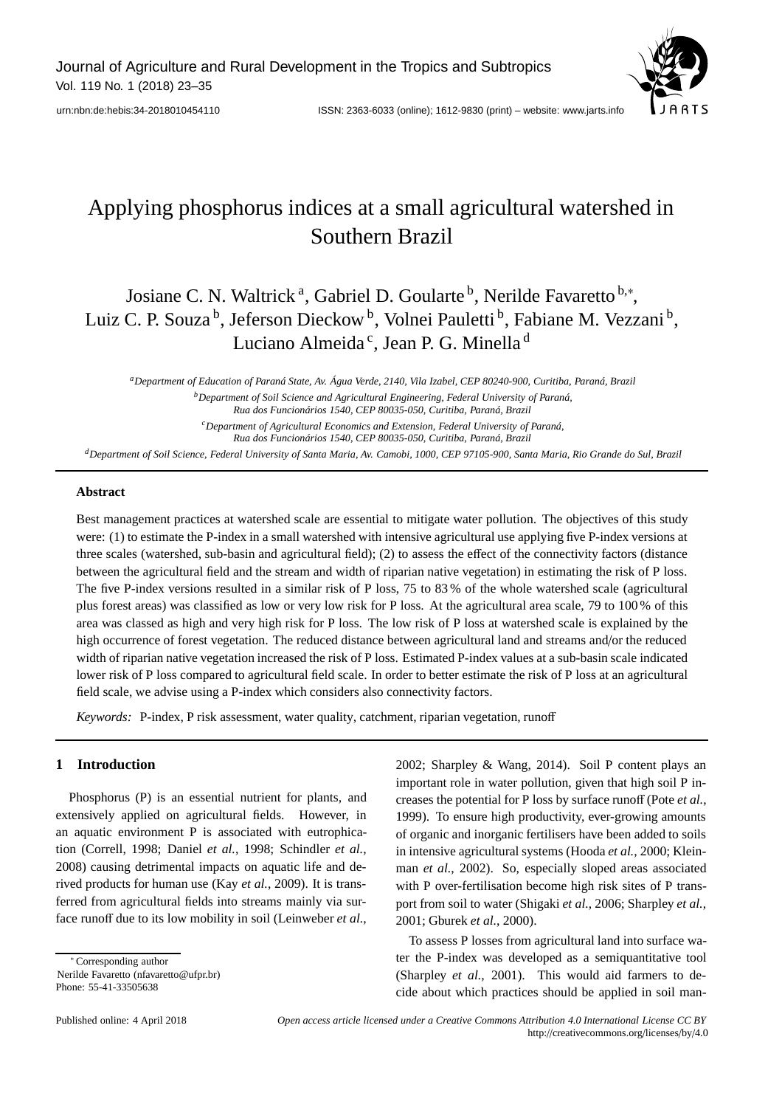Journal of Agriculture and Rural Development in the Tropics and Subtropics Vol. 119 No. 1 (2018) 23–35



# Applying phosphorus indices at a small agricultural watershed in Southern Brazil

## Josiane C. N. Waltrick<sup>a</sup>, Gabriel D. Goularte<sup>b</sup>, Nerilde Favaretto<sup>b,\*</sup>, Luiz C. P. Souza<sup>b</sup>, Jeferson Dieckow<sup>b</sup>, Volnei Pauletti<sup>b</sup>, Fabiane M. Vezzani<sup>b</sup>, Luciano Almeida<sup>c</sup>, Jean P. G. Minella<sup>d</sup>

*aDepartment of Education of Paraná State, Av. Água Verde, 2140, Vila Izabel, CEP 80240-900, Curitiba, Paraná, Brazil bDepartment of Soil Science and Agricultural Engineering, Federal University of Paraná, Rua dos Funcionários 1540, CEP 80035-050, Curitiba, Paraná, Brazil*

> *cDepartment of Agricultural Economics and Extension, Federal University of Paraná, Rua dos Funcionários 1540, CEP 80035-050, Curitiba, Paraná, Brazil*

*dDepartment of Soil Science, Federal University of Santa Maria, Av. Camobi, 1000, CEP 97105-900, Santa Maria, Rio Grande do Sul, Brazil*

## **Abstract**

Best management practices at watershed scale are essential to mitigate water pollution. The objectives of this study were: (1) to estimate the P-index in a small watershed with intensive agricultural use applying five P-index versions at three scales (watershed, sub-basin and agricultural field); (2) to assess the effect of the connectivity factors (distance between the agricultural field and the stream and width of riparian native vegetation) in estimating the risk of P loss. The five P-index versions resulted in a similar risk of P loss, 75 to 83 % of the whole watershed scale (agricultural plus forest areas) was classified as low or very low risk for P loss. At the agricultural area scale, 79 to 100 % of this area was classed as high and very high risk for P loss. The low risk of P loss at watershed scale is explained by the high occurrence of forest vegetation. The reduced distance between agricultural land and streams and/or the reduced width of riparian native vegetation increased the risk of P loss. Estimated P-index values at a sub-basin scale indicated lower risk of P loss compared to agricultural field scale. In order to better estimate the risk of P loss at an agricultural field scale, we advise using a P-index which considers also connectivity factors.

*Keywords:* P-index, P risk assessment, water quality, catchment, riparian vegetation, runoff

## **1 Introduction**

Phosphorus (P) is an essential nutrient for plants, and extensively applied on agricultural fields. However, in an aquatic environment P is associated with eutrophication (Correll, 1998; Daniel *et al.*, 1998; Schindler *et al.*, 2008) causing detrimental impacts on aquatic life and derived products for human use (Kay *et al.*, 2009). It is transferred from agricultural fields into streams mainly via surface runoff due to its low mobility in soil (Leinweber *et al.*,

∗ Corresponding author Nerilde Favaretto (nfavaretto@ufpr.br) Phone: 55-41-33505638

2002; Sharpley & Wang, 2014). Soil P content plays an important role in water pollution, given that high soil P increases the potential for P loss by surface runoff (Pote *et al.*, 1999). To ensure high productivity, ever-growing amounts of organic and inorganic fertilisers have been added to soils in intensive agricultural systems (Hooda *et al.*, 2000; Kleinman *et al.*, 2002). So, especially sloped areas associated with P over-fertilisation become high risk sites of P transport from soil to water (Shigaki *et al.*, 2006; Sharpley *et al.*, 2001; Gburek *et al.*, 2000).

To assess P losses from agricultural land into surface water the P-index was developed as a semiquantitative tool (Sharpley *et al.*, 2001). This would aid farmers to decide about which practices should be applied in soil man-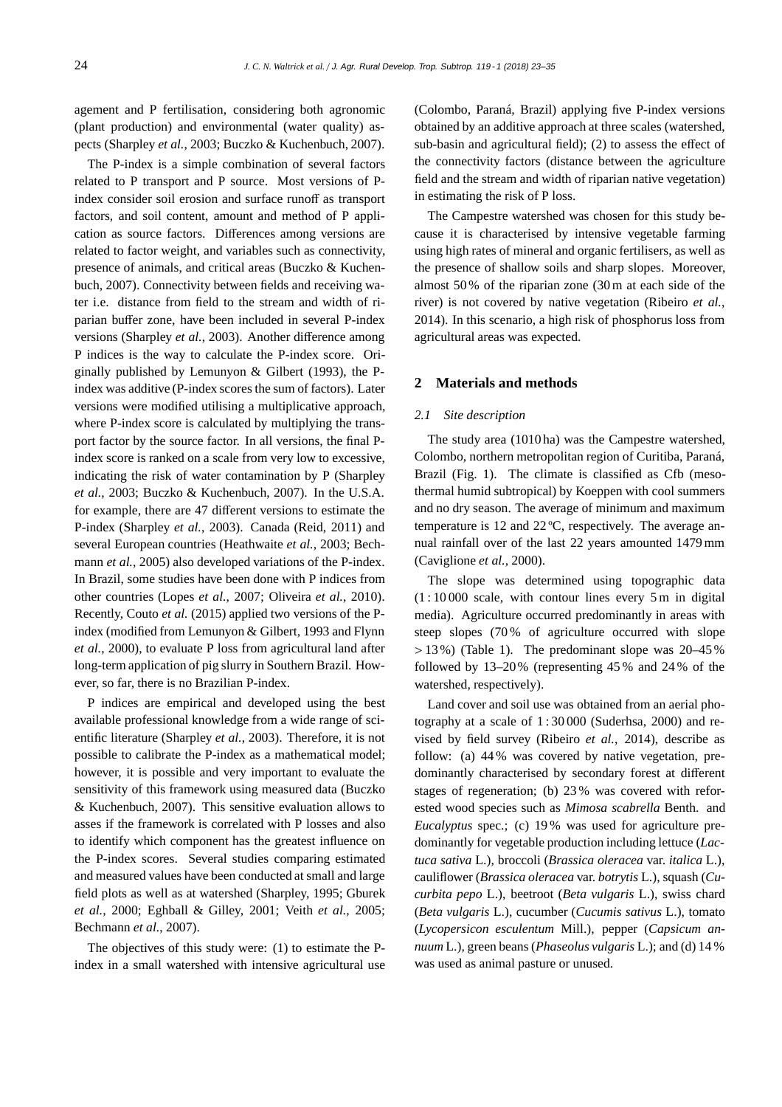agement and P fertilisation, considering both agronomic (plant production) and environmental (water quality) aspects (Sharpley *et al.*, 2003; Buczko & Kuchenbuch, 2007).

The P-index is a simple combination of several factors related to P transport and P source. Most versions of Pindex consider soil erosion and surface runoff as transport factors, and soil content, amount and method of P application as source factors. Differences among versions are related to factor weight, and variables such as connectivity, presence of animals, and critical areas (Buczko & Kuchenbuch, 2007). Connectivity between fields and receiving water i.e. distance from field to the stream and width of riparian buffer zone, have been included in several P-index versions (Sharpley *et al.*, 2003). Another difference among P indices is the way to calculate the P-index score. Originally published by Lemunyon & Gilbert (1993), the Pindex was additive (P-index scores the sum of factors). Later versions were modified utilising a multiplicative approach, where P-index score is calculated by multiplying the transport factor by the source factor. In all versions, the final Pindex score is ranked on a scale from very low to excessive, indicating the risk of water contamination by P (Sharpley *et al.*, 2003; Buczko & Kuchenbuch, 2007). In the U.S.A. for example, there are 47 different versions to estimate the P-index (Sharpley *et al.*, 2003). Canada (Reid, 2011) and several European countries (Heathwaite *et al.*, 2003; Bechmann *et al.*, 2005) also developed variations of the P-index. In Brazil, some studies have been done with P indices from other countries (Lopes *et al.*, 2007; Oliveira *et al.*, 2010). Recently, Couto *et al.* (2015) applied two versions of the Pindex (modified from Lemunyon & Gilbert, 1993 and Flynn *et al.*, 2000), to evaluate P loss from agricultural land after long-term application of pig slurry in Southern Brazil. However, so far, there is no Brazilian P-index.

P indices are empirical and developed using the best available professional knowledge from a wide range of scientific literature (Sharpley *et al.*, 2003). Therefore, it is not possible to calibrate the P-index as a mathematical model; however, it is possible and very important to evaluate the sensitivity of this framework using measured data (Buczko & Kuchenbuch, 2007). This sensitive evaluation allows to asses if the framework is correlated with P losses and also to identify which component has the greatest influence on the P-index scores. Several studies comparing estimated and measured values have been conducted at small and large field plots as well as at watershed (Sharpley, 1995; Gburek *et al.*, 2000; Eghball & Gilley, 2001; Veith *et al.*, 2005; Bechmann *et al.*, 2007).

The objectives of this study were: (1) to estimate the Pindex in a small watershed with intensive agricultural use

(Colombo, Paraná, Brazil) applying five P-index versions obtained by an additive approach at three scales (watershed, sub-basin and agricultural field); (2) to assess the effect of the connectivity factors (distance between the agriculture field and the stream and width of riparian native vegetation) in estimating the risk of P loss.

The Campestre watershed was chosen for this study because it is characterised by intensive vegetable farming using high rates of mineral and organic fertilisers, as well as the presence of shallow soils and sharp slopes. Moreover, almost 50 % of the riparian zone (30 m at each side of the river) is not covered by native vegetation (Ribeiro *et al.*, 2014). In this scenario, a high risk of phosphorus loss from agricultural areas was expected.

## **2 Materials and methods**

#### *2.1 Site description*

The study area (1010 ha) was the Campestre watershed, Colombo, northern metropolitan region of Curitiba, Paraná, Brazil (Fig. 1). The climate is classified as Cfb (mesothermal humid subtropical) by Koeppen with cool summers and no dry season. The average of minimum and maximum temperature is 12 and 22 ºC, respectively. The average annual rainfall over of the last 22 years amounted 1479 mm (Caviglione *et al.*, 2000).

The slope was determined using topographic data  $(1:10000 \text{ scale}, \text{ with contour lines every } 5 \text{ m in digital})$ media). Agriculture occurred predominantly in areas with steep slopes (70 % of agriculture occurred with slope  $> 13\%$ ) (Table 1). The predominant slope was  $20-45\%$ followed by 13–20% (representing 45 % and 24 % of the watershed, respectively).

Land cover and soil use was obtained from an aerial photography at a scale of  $1:30000$  (Suderhsa, 2000) and revised by field survey (Ribeiro *et al.*, 2014), describe as follow: (a) 44 % was covered by native vegetation, predominantly characterised by secondary forest at different stages of regeneration; (b) 23 % was covered with reforested wood species such as *Mimosa scabrella* Benth. and *Eucalyptus* spec.; (c) 19 % was used for agriculture predominantly for vegetable production including lettuce (*Lactuca sativa* L.), broccoli (*Brassica oleracea* var. *italica* L.), cauliflower (*Brassica oleracea* var. *botrytis* L.), squash (*Cucurbita pepo* L.), beetroot (*Beta vulgaris* L.), swiss chard (*Beta vulgaris* L.), cucumber (*Cucumis sativus* L.), tomato (*Lycopersicon esculentum* Mill.), pepper (*Capsicum annuum* L.), green beans (*Phaseolus vulgaris* L.); and (d) 14 % was used as animal pasture or unused.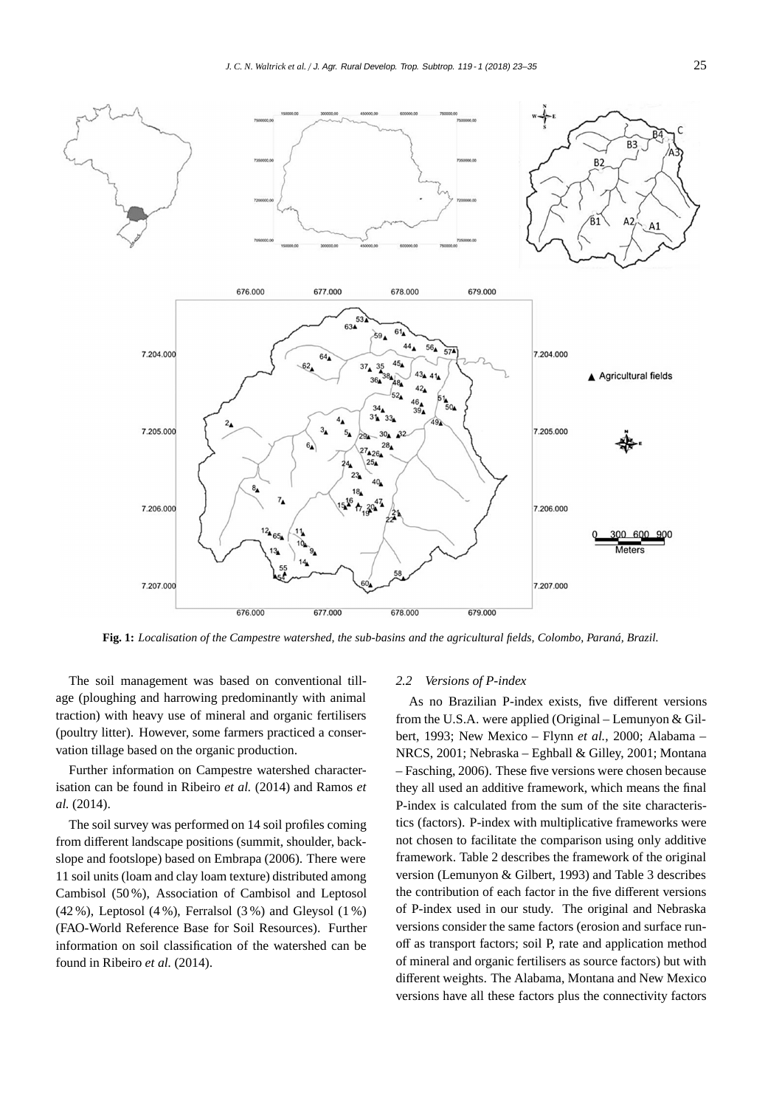

**Fig. 1:** *Localisation of the Campestre watershed, the sub-basins and the agricultural fields, Colombo, Paraná, Brazil.*

The soil management was based on conventional tillage (ploughing and harrowing predominantly with animal traction) with heavy use of mineral and organic fertilisers (poultry litter). However, some farmers practiced a conservation tillage based on the organic production.

Further information on Campestre watershed characterisation can be found in Ribeiro *et al.* (2014) and Ramos *et al.* (2014).

The soil survey was performed on 14 soil profiles coming from different landscape positions (summit, shoulder, backslope and footslope) based on Embrapa (2006). There were 11 soil units (loam and clay loam texture) distributed among Cambisol (50 %), Association of Cambisol and Leptosol (42 %), Leptosol (4 %), Ferralsol (3 %) and Gleysol (1 %) (FAO-World Reference Base for Soil Resources). Further information on soil classification of the watershed can be found in Ribeiro *et al.* (2014).

#### *2.2 Versions of P-index*

As no Brazilian P-index exists, five different versions from the U.S.A. were applied (Original – Lemunyon & Gilbert, 1993; New Mexico – Flynn *et al.*, 2000; Alabama – NRCS, 2001; Nebraska – Eghball & Gilley, 2001; Montana – Fasching, 2006). These five versions were chosen because they all used an additive framework, which means the final P-index is calculated from the sum of the site characteristics (factors). P-index with multiplicative frameworks were not chosen to facilitate the comparison using only additive framework. Table 2 describes the framework of the original version (Lemunyon & Gilbert, 1993) and Table 3 describes the contribution of each factor in the five different versions of P-index used in our study. The original and Nebraska versions consider the same factors (erosion and surface runoff as transport factors; soil P, rate and application method of mineral and organic fertilisers as source factors) but with different weights. The Alabama, Montana and New Mexico versions have all these factors plus the connectivity factors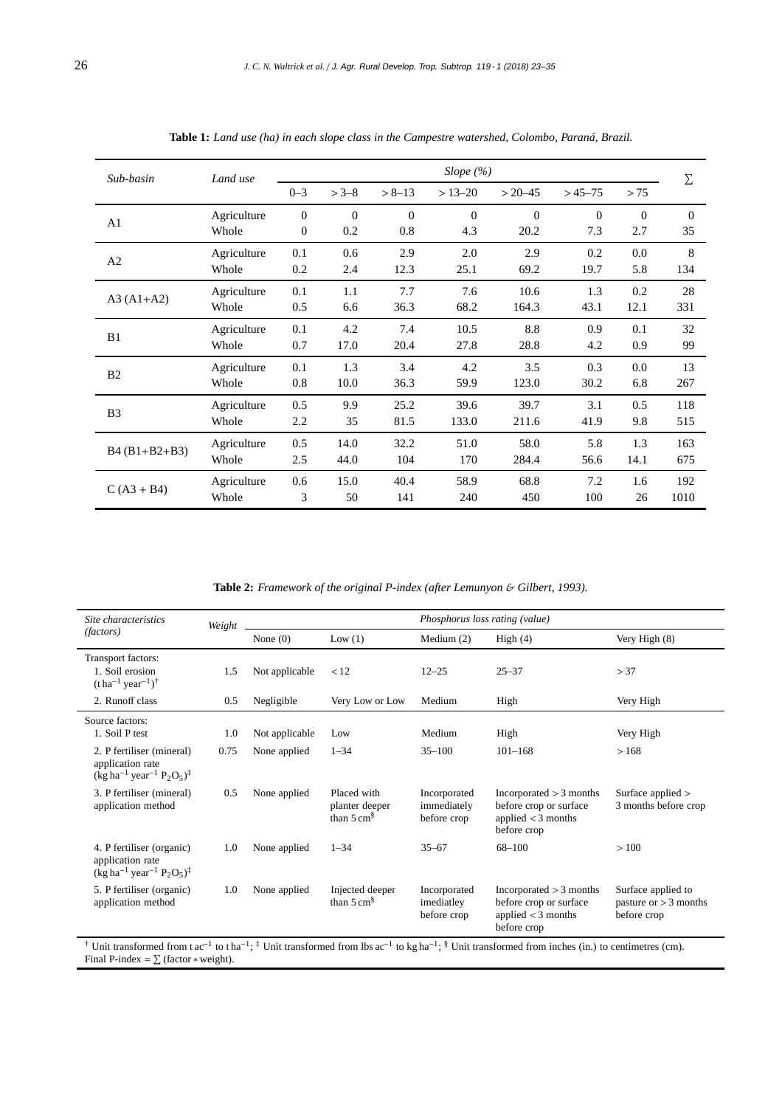| Sub-basin       | Land use     |              |          |            | Slope $(\%)$   |              |          |                                                                                                                                | Σ              |
|-----------------|--------------|--------------|----------|------------|----------------|--------------|----------|--------------------------------------------------------------------------------------------------------------------------------|----------------|
|                 |              | $0 - 3$      | $> 3-8$  | $> 8 - 13$ | $> 13 - 20$    | $> 20 - 45$  | $>45-75$ | > 75<br>$\mathbf{0}$<br>2.7<br>0.0<br>5.8<br>0.2<br>12.1<br>0.1<br>0.9<br>0.0<br>6.8<br>0.5<br>9.8<br>1.3<br>14.1<br>1.6<br>26 |                |
| A1              | Agriculture  | $\mathbf{0}$ | $\theta$ | $\Omega$   | $\overline{0}$ | $\mathbf{0}$ | $\Omega$ |                                                                                                                                | $\overline{0}$ |
|                 | Whole        | $\mathbf{0}$ | 0.2      | 0.8        | 4.3            | 20.2         | 7.3      |                                                                                                                                | 35             |
| A2              | Agriculture  | 0.1          | 0.6      | 2.9        | 2.0            | 2.9          | 0.2      |                                                                                                                                | 8              |
|                 | Whole        | 0.2          | 2.4      | 12.3       | 25.1           | 69.2         | 19.7     |                                                                                                                                | 134            |
|                 | Agriculture  | 0.1          | 1.1      | 7.7        | 7.6            | 10.6         | 1.3      |                                                                                                                                | 28             |
| $A3 (A1+A2)$    | 0.5<br>Whole | 6.6          | 36.3     | 68.2       | 164.3          | 43.1         |          | 331                                                                                                                            |                |
| B1              | Agriculture  | 0.1          | 4.2      | 7.4        | 10.5           | 8.8          | 0.9      |                                                                                                                                | 32             |
|                 | Whole        | 0.7          | 17.0     | 20.4       | 27.8           | 28.8         | 4.2      |                                                                                                                                | 99             |
| B <sub>2</sub>  | Agriculture  | 0.1          | 1.3      | 3.4        | 4.2            | 3.5          | 0.3      |                                                                                                                                | 13             |
|                 | Whole        | 0.8          | 10.0     | 36.3       | 59.9           | 123.0        | 30.2     |                                                                                                                                | 267            |
|                 | Agriculture  | 0.5          | 9.9      | 25.2       | 39.6           | 39.7         | 3.1      |                                                                                                                                | 118            |
| B <sub>3</sub>  | Whole        | 2.2          | 35       | 81.5       | 133.0          | 211.6        | 41.9     |                                                                                                                                | 515            |
|                 | Agriculture  | 0.5          | 14.0     | 32.2       | 51.0           | 58.0         | 5.8      |                                                                                                                                | 163            |
| $B4 (B1+B2+B3)$ | Whole        | 2.5          | 44.0     | 104        | 170            | 284.4        | 56.6     |                                                                                                                                | 675            |
|                 | Agriculture  | 0.6          | 15.0     | 40.4       | 58.9           | 68.8         | 7.2      |                                                                                                                                | 192            |
| $C (A3 + B4)$   | Whole        | 3            | 50       | 141        | 240            | 450          | 100      |                                                                                                                                | 1010           |

**Table 1:** *Land use (ha) in each slope class in the Campestre watershed, Colombo, Paraná, Brazil.*

**Table 2:** *Framework of the original P-index (after Lemunyon* & *Gilbert, 1993).*

| Site characteristics                                                                                                       | Weight |                |                                                        |                                            | Phosphorus loss rating (value)                                                           |                                                              |  |  |  |  |
|----------------------------------------------------------------------------------------------------------------------------|--------|----------------|--------------------------------------------------------|--------------------------------------------|------------------------------------------------------------------------------------------|--------------------------------------------------------------|--|--|--|--|
| <i>(factors)</i>                                                                                                           |        | None $(0)$     | Low $(1)$                                              | Medium $(2)$                               | High $(4)$                                                                               | Very High (8)                                                |  |  |  |  |
| Transport factors:<br>1. Soil erosion<br>$(\text{t} \text{ ha}^{-1} \text{ year}^{-1})^{\dagger}$                          | 1.5    | Not applicable | < 12                                                   | $12 - 25$                                  | $25 - 37$                                                                                | > 37                                                         |  |  |  |  |
| 2. Runoff class                                                                                                            | 0.5    | Negligible     | Very Low or Low                                        | Medium                                     | High                                                                                     | Very High                                                    |  |  |  |  |
| Source factors:<br>1. Soil P test                                                                                          | 1.0    | Not applicable | Low                                                    | Medium                                     | High                                                                                     | Very High                                                    |  |  |  |  |
| 2. P fertiliser (mineral)<br>application rate<br>$(\text{kg ha}^{-1} \text{ year}^{-1} \text{ P}_2 \text{O}_5)^{\ddagger}$ | 0.75   | None applied   | $1 - 34$                                               | $35 - 100$                                 | $101 - 168$                                                                              | >168                                                         |  |  |  |  |
| 3. P fertiliser (mineral)<br>application method                                                                            | 0.5    | None applied   | Placed with<br>planter deeper<br>than $5 \text{ cm}^8$ | Incorporated<br>immediately<br>before crop | Incorporated > 3 months<br>before crop or surface<br>applied $<$ 3 months<br>before crop | Surface applied ><br>3 months before crop                    |  |  |  |  |
| 4. P fertiliser (organic)<br>application rate<br>$(\text{kg ha}^{-1} \text{ year}^{-1} \text{ P}_2 \text{O}_5)^{\ddagger}$ | 1.0    | None applied   | $1 - 34$                                               | $35 - 67$                                  | 68-100                                                                                   | >100                                                         |  |  |  |  |
| 5. P fertiliser (organic)<br>application method                                                                            | 1.0    | None applied   | Injected deeper<br>than $5 \text{ cm}^8$               | Incorporated<br>imediatley<br>before crop  | Incorporated > 3 months<br>before crop or surface<br>applied $<$ 3 months<br>before crop | Surface applied to<br>pasture or $>$ 3 months<br>before crop |  |  |  |  |

Final P-index =  $\sum$  (factor \* weight).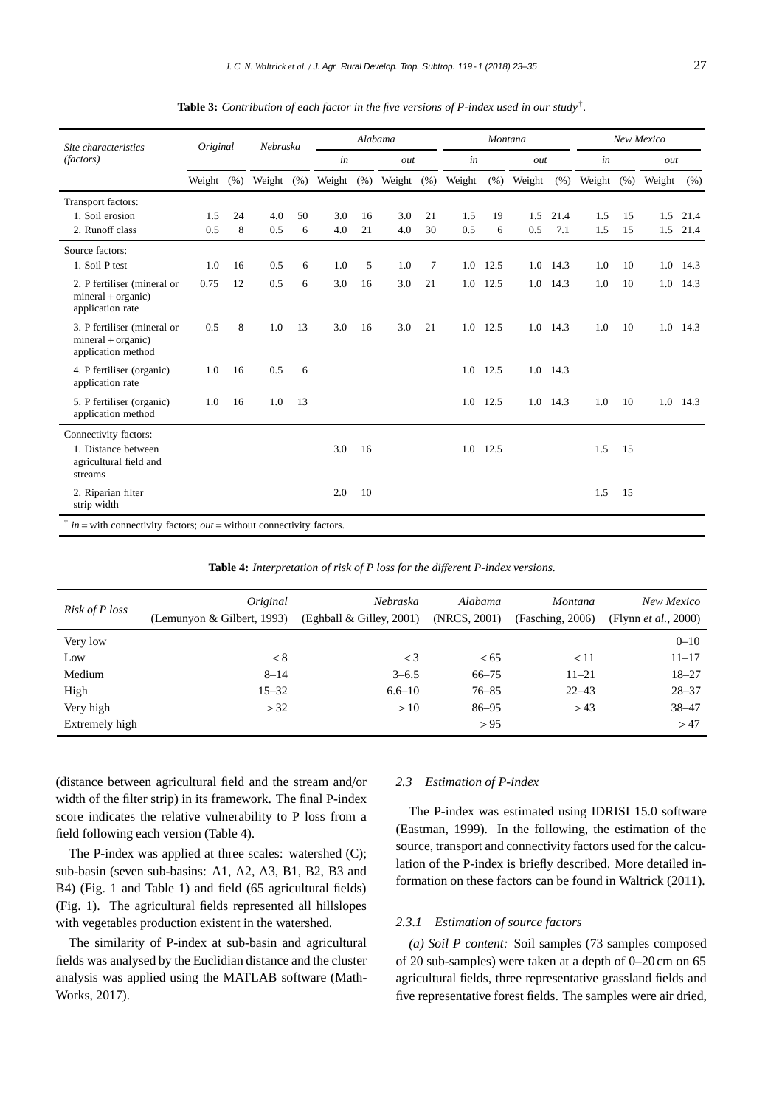| Site characteristics                                                              | Original      |    | Nebraska |      | Alabama |      |               |    | Montana |      |        |            | New Mexico |      |        |          |
|-----------------------------------------------------------------------------------|---------------|----|----------|------|---------|------|---------------|----|---------|------|--------|------------|------------|------|--------|----------|
| (factors)                                                                         |               |    |          |      | in      |      | out           |    | in      |      | out    |            | in         |      | out    |          |
|                                                                                   | Weight $(\%)$ |    | Weight   | (% ) | Weight  | (% ) | Weight $(\%)$ |    | Weight  | (% ) | Weight | (% )       | Weight     | (% ) | Weight | (% )     |
| Transport factors:                                                                |               |    |          |      |         |      |               |    |         |      |        |            |            |      |        |          |
| 1. Soil erosion                                                                   | 1.5           | 24 | 4.0      | 50   | 3.0     | 16   | 3.0           | 21 | 1.5     | 19   | 1.5    | 21.4       | 1.5        | 15   | 1.5    | 21.4     |
| 2. Runoff class                                                                   | 0.5           | 8  | 0.5      | 6    | 4.0     | 21   | 4.0           | 30 | 0.5     | 6    | 0.5    | 7.1        | 1.5        | 15   | 1.5    | 21.4     |
| Source factors:                                                                   |               |    |          |      |         |      |               |    |         |      |        |            |            |      |        |          |
| 1. Soil P test                                                                    | 1.0           | 16 | 0.5      | 6    | 1.0     | 5    | 1.0           | 7  | 1.0     | 12.5 | 1.0    | 14.3       | 1.0        | 10   | 1.0    | 14.3     |
| 2. P fertiliser (mineral or<br>$mineral + organic)$<br>application rate           | 0.75          | 12 | 0.5      | 6    | 3.0     | 16   | 3.0           | 21 | 1.0     | 12.5 |        | $1.0$ 14.3 | 1.0        | 10   |        | 1.0 14.3 |
| 3. P fertiliser (mineral or<br>$mineral + organic)$<br>application method         | 0.5           | 8  | 1.0      | 13   | 3.0     | 16   | 3.0           | 21 | 1.0     | 12.5 | 1.0    | 14.3       | 1.0        | 10   |        | 1.0 14.3 |
| 4. P fertiliser (organic)<br>application rate                                     | 1.0           | 16 | 0.5      | 6    |         |      |               |    | 1.0     | 12.5 |        | 1.0 14.3   |            |      |        |          |
| 5. P fertiliser (organic)<br>application method                                   | 1.0           | 16 | 1.0      | 13   |         |      |               |    | 1.0     | 12.5 | 1.0    | 14.3       | 1.0        | 10   | 1.0    | 14.3     |
| Connectivity factors:<br>1. Distance between<br>agricultural field and<br>streams |               |    |          |      | 3.0     | 16   |               |    | 1.0     | 12.5 |        |            | 1.5        | 15   |        |          |
| 2. Riparian filter<br>strip width                                                 |               |    |          |      | 2.0     | 10   |               |    |         |      |        |            | 1.5        | 15   |        |          |

**Table 3:** *Contribution of each factor in the five versions of P-index used in our study*†*.*

**Table 4:** *Interpretation of risk of P loss for the di*ff*erent P-index versions.*

| Risk of P loss | Original<br>(Lemunyon & Gilbert, 1993) | Nebraska<br>(Eghball & Gilley, 2001) | Alabama<br>(NRCS, 2001) | <i>Montana</i><br>(Fasching, 2006) | New Mexico<br>(Flynn <i>et al.</i> , 2000) |
|----------------|----------------------------------------|--------------------------------------|-------------------------|------------------------------------|--------------------------------------------|
| Very low       |                                        |                                      |                         |                                    | $0 - 10$                                   |
| Low            | < 8                                    | $\lt$ 3                              | <65                     | < 11                               | $11 - 17$                                  |
| Medium         | $8 - 14$                               | $3 - 6.5$                            | 66–75                   | $11 - 21$                          | $18 - 27$                                  |
| High           | $15 - 32$                              | $6.6 - 10$                           | $76 - 85$               | $22 - 43$                          | $28 - 37$                                  |
| Very high      | > 32                                   | >10                                  | $86 - 95$               | > 43                               | $38 - 47$                                  |
| Extremely high |                                        |                                      | > 95                    |                                    | >47                                        |

(distance between agricultural field and the stream and/or width of the filter strip) in its framework. The final P-index score indicates the relative vulnerability to P loss from a field following each version (Table 4).

The P-index was applied at three scales: watershed (C); sub-basin (seven sub-basins: A1, A2, A3, B1, B2, B3 and B4) (Fig. 1 and Table 1) and field (65 agricultural fields) (Fig. 1). The agricultural fields represented all hillslopes with vegetables production existent in the watershed.

The similarity of P-index at sub-basin and agricultural fields was analysed by the Euclidian distance and the cluster analysis was applied using the MATLAB software (Math-Works, 2017).

#### *2.3 Estimation of P-index*

The P-index was estimated using IDRISI 15.0 software (Eastman, 1999). In the following, the estimation of the source, transport and connectivity factors used for the calculation of the P-index is briefly described. More detailed information on these factors can be found in Waltrick (2011).

#### *2.3.1 Estimation of source factors*

*(a) Soil P content:* Soil samples (73 samples composed of 20 sub-samples) were taken at a depth of 0–20 cm on 65 agricultural fields, three representative grassland fields and five representative forest fields. The samples were air dried,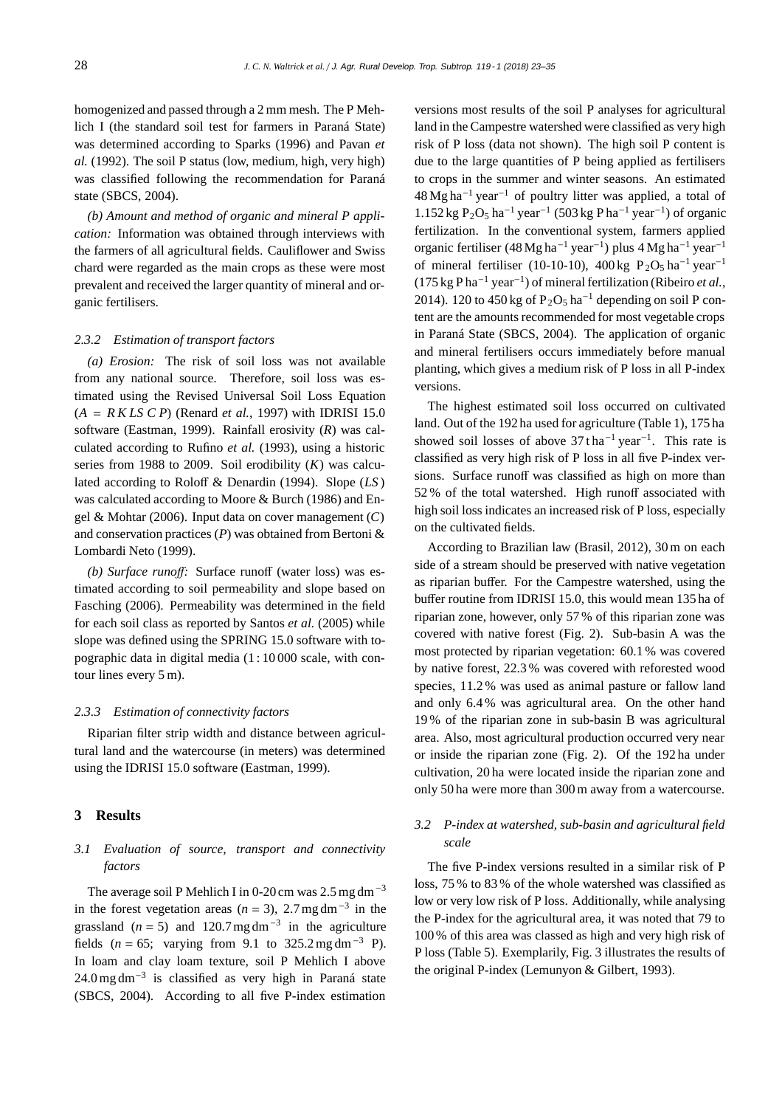homogenized and passed through a 2 mm mesh. The P Mehlich I (the standard soil test for farmers in Paraná State) was determined according to Sparks (1996) and Pavan *et al.* (1992). The soil P status (low, medium, high, very high) was classified following the recommendation for Paraná state (SBCS, 2004).

*(b) Amount and method of organic and mineral P application:* Information was obtained through interviews with the farmers of all agricultural fields. Cauliflower and Swiss chard were regarded as the main crops as these were most prevalent and received the larger quantity of mineral and organic fertilisers.

#### *2.3.2 Estimation of transport factors*

*(a) Erosion:* The risk of soil loss was not available from any national source. Therefore, soil loss was estimated using the Revised Universal Soil Loss Equation  $(A = R K L S C P)$  (Renard *et al.*, 1997) with IDRISI 15.0 software (Eastman, 1999). Rainfall erosivity (*R*) was calculated according to Rufino *et al.* (1993), using a historic series from 1988 to 2009. Soil erodibility (*K*) was calculated according to Roloff & Denardin (1994). Slope (*LS* ) was calculated according to Moore & Burch (1986) and Engel & Mohtar (2006). Input data on cover management (*C*) and conservation practices (*P*) was obtained from Bertoni & Lombardi Neto (1999).

*(b) Surface runo*ff*:* Surface runoff (water loss) was estimated according to soil permeability and slope based on Fasching (2006). Permeability was determined in the field for each soil class as reported by Santos *et al.* (2005) while slope was defined using the SPRING 15.0 software with topographic data in digital media (1 : 10 000 scale, with contour lines every 5 m).

#### *2.3.3 Estimation of connectivity factors*

Riparian filter strip width and distance between agricultural land and the watercourse (in meters) was determined using the IDRISI 15.0 software (Eastman, 1999).

### **3 Results**

## *3.1 Evaluation of source, transport and connectivity factors*

The average soil P Mehlich I in 0-20 cm was  $2.5$  mg dm<sup>-3</sup> in the forest vegetation areas ( $n = 3$ ), 2.7 mg dm<sup>-3</sup> in the grassland ( $n = 5$ ) and 120.7 mg dm<sup>-3</sup> in the agriculture fields ( $n = 65$ ; varying from 9.1 to 325.2 mg dm<sup>-3</sup> P). In loam and clay loam texture, soil P Mehlich I above  $24.0$  mg dm<sup>-3</sup> is classified as very high in Paraná state (SBCS, 2004). According to all five P-index estimation

versions most results of the soil P analyses for agricultural land in the Campestre watershed were classified as very high risk of P loss (data not shown). The high soil P content is due to the large quantities of P being applied as fertilisers to crops in the summer and winter seasons. An estimated  $48$  Mg ha<sup>-1</sup> year<sup>-1</sup> of poultry litter was applied, a total of  $1.152$  kg P<sub>2</sub>O<sub>5</sub> ha<sup>-1</sup> year<sup>-1</sup> (503 kg P ha<sup>-1</sup> year<sup>-1</sup>) of organic fertilization. In the conventional system, farmers applied organic fertiliser (48Mg ha−<sup>1</sup> year−1) plus 4 Mg ha−<sup>1</sup> year−<sup>1</sup> of mineral fertiliser (10-10-10), 400 kg P<sub>2</sub>O<sub>5</sub> ha<sup>-1</sup> year<sup>-1</sup> (175 kg P ha−<sup>1</sup> year−1) of mineral fertilization (Ribeiro *et al.*, 2014). 120 to 450 kg of  $P_2O_5$  ha<sup>-1</sup> depending on soil P content are the amounts recommended for most vegetable crops in Paraná State (SBCS, 2004). The application of organic and mineral fertilisers occurs immediately before manual planting, which gives a medium risk of P loss in all P-index versions.

The highest estimated soil loss occurred on cultivated land. Out of the 192 ha used for agriculture (Table 1), 175 ha showed soil losses of above  $37$  tha<sup>-1</sup> year<sup>-1</sup>. This rate is classified as very high risk of P loss in all five P-index versions. Surface runoff was classified as high on more than 52 % of the total watershed. High runoff associated with high soil loss indicates an increased risk of P loss, especially on the cultivated fields.

According to Brazilian law (Brasil, 2012), 30 m on each side of a stream should be preserved with native vegetation as riparian buffer. For the Campestre watershed, using the buffer routine from IDRISI 15.0, this would mean 135 ha of riparian zone, however, only 57 % of this riparian zone was covered with native forest (Fig. 2). Sub-basin A was the most protected by riparian vegetation: 60.1 % was covered by native forest, 22.3 % was covered with reforested wood species, 11.2 % was used as animal pasture or fallow land and only 6.4 % was agricultural area. On the other hand 19 % of the riparian zone in sub-basin B was agricultural area. Also, most agricultural production occurred very near or inside the riparian zone (Fig. 2). Of the 192 ha under cultivation, 20 ha were located inside the riparian zone and only 50 ha were more than 300 m away from a watercourse.

## *3.2 P-index at watershed, sub-basin and agricultural field scale*

The five P-index versions resulted in a similar risk of P loss, 75 % to 83 % of the whole watershed was classified as low or very low risk of P loss. Additionally, while analysing the P-index for the agricultural area, it was noted that 79 to 100 % of this area was classed as high and very high risk of P loss (Table 5). Exemplarily, Fig. 3 illustrates the results of the original P-index (Lemunyon & Gilbert, 1993).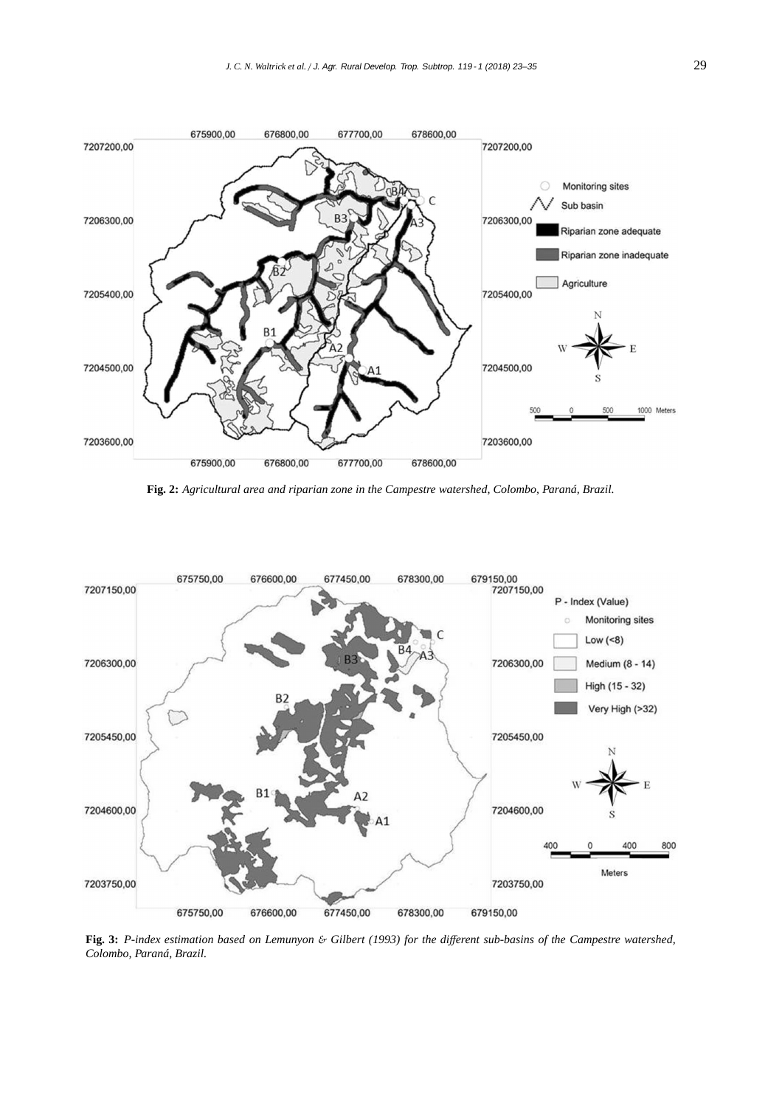

**Fig. 2:** *Agricultural area and riparian zone in the Campestre watershed, Colombo, Paraná, Brazil.*



**Fig. 3:** *P-index estimation based on Lemunyon* & *Gilbert (1993) for the di*ff*erent sub-basins of the Campestre watershed, Colombo, Paraná, Brazil.*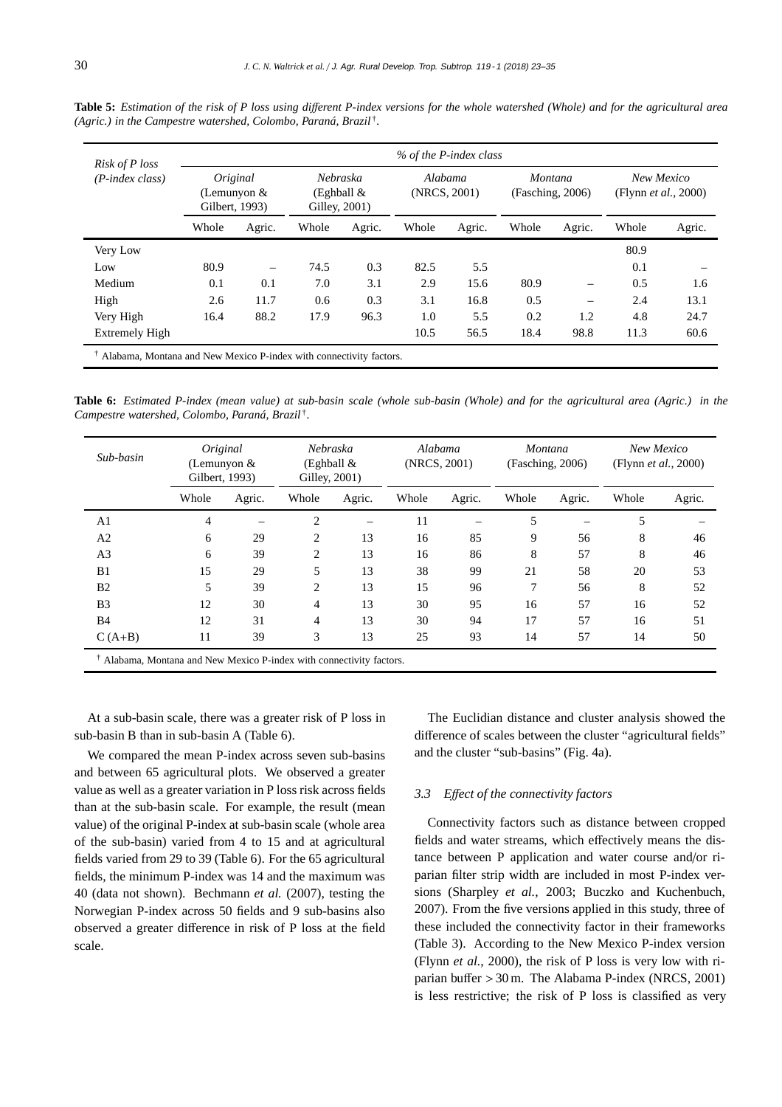| Risk of P loss     |                                             |        |                                           |        |                         | % of the P-index class |                                    |        |                                            |        |
|--------------------|---------------------------------------------|--------|-------------------------------------------|--------|-------------------------|------------------------|------------------------------------|--------|--------------------------------------------|--------|
| $(P$ -index class) | Original<br>(Lemunyon $&$<br>Gilbert, 1993) |        | Nebraska<br>(Eghball $&$<br>Gilley, 2001) |        | Alabama<br>(NRCS, 2001) |                        | <i>Montana</i><br>(Fasching, 2006) |        | New Mexico<br>(Flynn <i>et al.</i> , 2000) |        |
|                    | Whole                                       | Agric. | Whole                                     | Agric. | Whole                   | Agric.                 | Whole                              | Agric. | Whole                                      | Agric. |
| Very Low           |                                             |        |                                           |        |                         |                        |                                    |        | 80.9                                       |        |
| Low                | 80.9                                        |        | 74.5                                      | 0.3    | 82.5                    | 5.5                    |                                    |        | 0.1                                        |        |
| Medium             | 0.1                                         | 0.1    | 7.0                                       | 3.1    | 2.9                     | 15.6                   | 80.9                               |        | 0.5                                        | 1.6    |
| High               | 2.6                                         | 11.7   | 0.6                                       | 0.3    | 3.1                     | 16.8                   | 0.5                                |        | 2.4                                        | 13.1   |
| Very High          | 16.4                                        | 88.2   | 17.9                                      | 96.3   | 1.0                     | 5.5                    | 0.2                                | 1.2    | 4.8                                        | 24.7   |
| Extremely High     |                                             |        |                                           |        | 10.5                    | 56.5                   | 18.4                               | 98.8   | 11.3                                       | 60.6   |

**Table 5:** *Estimation of the risk of P loss using di*ff*erent P-index versions for the whole watershed (Whole) and for the agricultural area (Agric.) in the Campestre watershed, Colombo, Paraná, Brazil* †*.*

**Table 6:** *Estimated P-index (mean value) at sub-basin scale (whole sub-basin (Whole) and for the agricultural area (Agric.) in the Campestre watershed, Colombo, Paraná, Brazil* †*.*

| Sub-basin      | Original<br>(Lemunyon $&$<br>Gilbert, 1993) |        | Nebraska<br>(Eghball $&$<br>Gilley, 2001) |        | (NRCS, 2001) | Alabama | Montana | (Fasching, 2006) | New Mexico<br>(Flynn <i>et al.</i> , 2000) |        |
|----------------|---------------------------------------------|--------|-------------------------------------------|--------|--------------|---------|---------|------------------|--------------------------------------------|--------|
|                | Whole                                       | Agric. | Whole                                     | Agric. | Whole        | Agric.  | Whole   | Agric.           | Whole                                      | Agric. |
| A <sub>1</sub> | 4                                           |        | $\overline{c}$                            |        | 11           |         | 5       |                  | 5                                          |        |
| A2             | 6                                           | 29     | $\overline{c}$                            | 13     | 16           | 85      | 9       | 56               | 8                                          | 46     |
| A <sub>3</sub> | 6                                           | 39     | $\overline{c}$                            | 13     | 16           | 86      | 8       | 57               | 8                                          | 46     |
| B <sub>1</sub> | 15                                          | 29     | 5                                         | 13     | 38           | 99      | 21      | 58               | 20                                         | 53     |
| <b>B2</b>      | 5                                           | 39     | 2                                         | 13     | 15           | 96      | 7       | 56               | 8                                          | 52     |
| B <sub>3</sub> | 12                                          | 30     | 4                                         | 13     | 30           | 95      | 16      | 57               | 16                                         | 52     |
| <b>B</b> 4     | 12                                          | 31     | 4                                         | 13     | 30           | 94      | 17      | 57               | 16                                         | 51     |
| $C(A+B)$       | 11                                          | 39     | 3                                         | 13     | 25           | 93      | 14      | 57               | 14                                         | 50     |
| $-1 - 1 - 1$   | $\sim$ $\sim$ $\sim$                        | $ -$   |                                           |        |              |         |         |                  |                                            |        |

† Alabama, Montana and New Mexico P-index with connectivity factors.

At a sub-basin scale, there was a greater risk of P loss in sub-basin B than in sub-basin A (Table 6).

We compared the mean P-index across seven sub-basins and between 65 agricultural plots. We observed a greater value as well as a greater variation in P loss risk across fields than at the sub-basin scale. For example, the result (mean value) of the original P-index at sub-basin scale (whole area of the sub-basin) varied from 4 to 15 and at agricultural fields varied from 29 to 39 (Table 6). For the 65 agricultural fields, the minimum P-index was 14 and the maximum was 40 (data not shown). Bechmann *et al.* (2007), testing the Norwegian P-index across 50 fields and 9 sub-basins also observed a greater difference in risk of P loss at the field scale.

The Euclidian distance and cluster analysis showed the difference of scales between the cluster "agricultural fields" and the cluster "sub-basins" (Fig. 4a).

#### *3.3 E*ff*ect of the connectivity factors*

Connectivity factors such as distance between cropped fields and water streams, which effectively means the distance between P application and water course and/or riparian filter strip width are included in most P-index versions (Sharpley *et al.*, 2003; Buczko and Kuchenbuch, 2007). From the five versions applied in this study, three of these included the connectivity factor in their frameworks (Table 3). According to the New Mexico P-index version (Flynn *et al.*, 2000), the risk of P loss is very low with riparian buffer > 30 m. The Alabama P-index (NRCS, 2001) is less restrictive; the risk of P loss is classified as very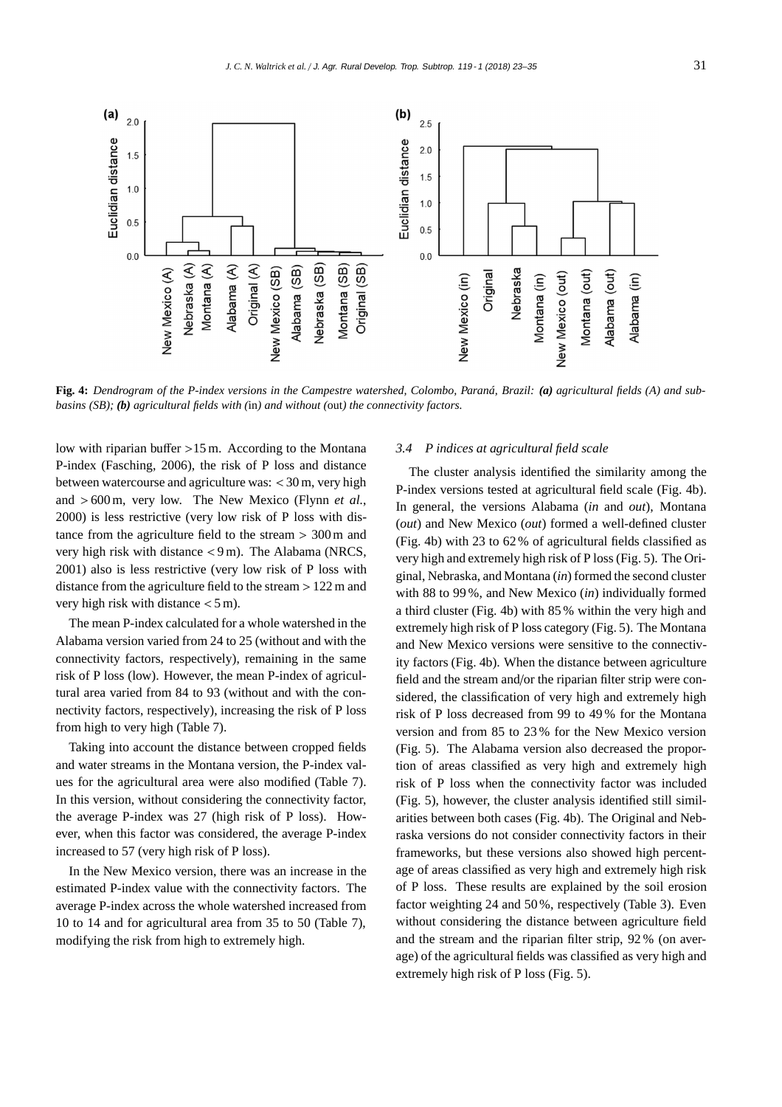

**Fig. 4:** *Dendrogram of the P-index versions in the Campestre watershed, Colombo, Paraná, Brazil: (a) agricultural fields (A) and subbasins (SB); (b) agricultural fields with (*in*) and without (*out*) the connectivity factors.*

low with riparian buffer >15 m. According to the Montana P-index (Fasching, 2006), the risk of P loss and distance between watercourse and agriculture was: < 30 m, very high and > 600 m, very low. The New Mexico (Flynn *et al.*, 2000) is less restrictive (very low risk of P loss with distance from the agriculture field to the stream > 300 m and very high risk with distance < 9 m). The Alabama (NRCS, 2001) also is less restrictive (very low risk of P loss with distance from the agriculture field to the stream > 122 m and very high risk with distance < 5 m).

The mean P-index calculated for a whole watershed in the Alabama version varied from 24 to 25 (without and with the connectivity factors, respectively), remaining in the same risk of P loss (low). However, the mean P-index of agricultural area varied from 84 to 93 (without and with the connectivity factors, respectively), increasing the risk of P loss from high to very high (Table 7).

Taking into account the distance between cropped fields and water streams in the Montana version, the P-index values for the agricultural area were also modified (Table 7). In this version, without considering the connectivity factor, the average P-index was 27 (high risk of P loss). However, when this factor was considered, the average P-index increased to 57 (very high risk of P loss).

In the New Mexico version, there was an increase in the estimated P-index value with the connectivity factors. The average P-index across the whole watershed increased from 10 to 14 and for agricultural area from 35 to 50 (Table 7), modifying the risk from high to extremely high.

#### *3.4 P indices at agricultural field scale*

The cluster analysis identified the similarity among the P-index versions tested at agricultural field scale (Fig. 4b). In general, the versions Alabama (*in* and *out*), Montana (*out*) and New Mexico (*out*) formed a well-defined cluster (Fig. 4b) with 23 to 62 % of agricultural fields classified as very high and extremely high risk of P loss (Fig. 5). The Original, Nebraska, and Montana (*in*) formed the second cluster with 88 to 99 %, and New Mexico (*in*) individually formed a third cluster (Fig. 4b) with 85 % within the very high and extremely high risk of P loss category (Fig. 5). The Montana and New Mexico versions were sensitive to the connectivity factors (Fig. 4b). When the distance between agriculture field and the stream and/or the riparian filter strip were considered, the classification of very high and extremely high risk of P loss decreased from 99 to 49 % for the Montana version and from 85 to 23 % for the New Mexico version (Fig. 5). The Alabama version also decreased the proportion of areas classified as very high and extremely high risk of P loss when the connectivity factor was included (Fig. 5), however, the cluster analysis identified still similarities between both cases (Fig. 4b). The Original and Nebraska versions do not consider connectivity factors in their frameworks, but these versions also showed high percentage of areas classified as very high and extremely high risk of P loss. These results are explained by the soil erosion factor weighting 24 and 50 %, respectively (Table 3). Even without considering the distance between agriculture field and the stream and the riparian filter strip, 92 % (on average) of the agricultural fields was classified as very high and extremely high risk of P loss (Fig. 5).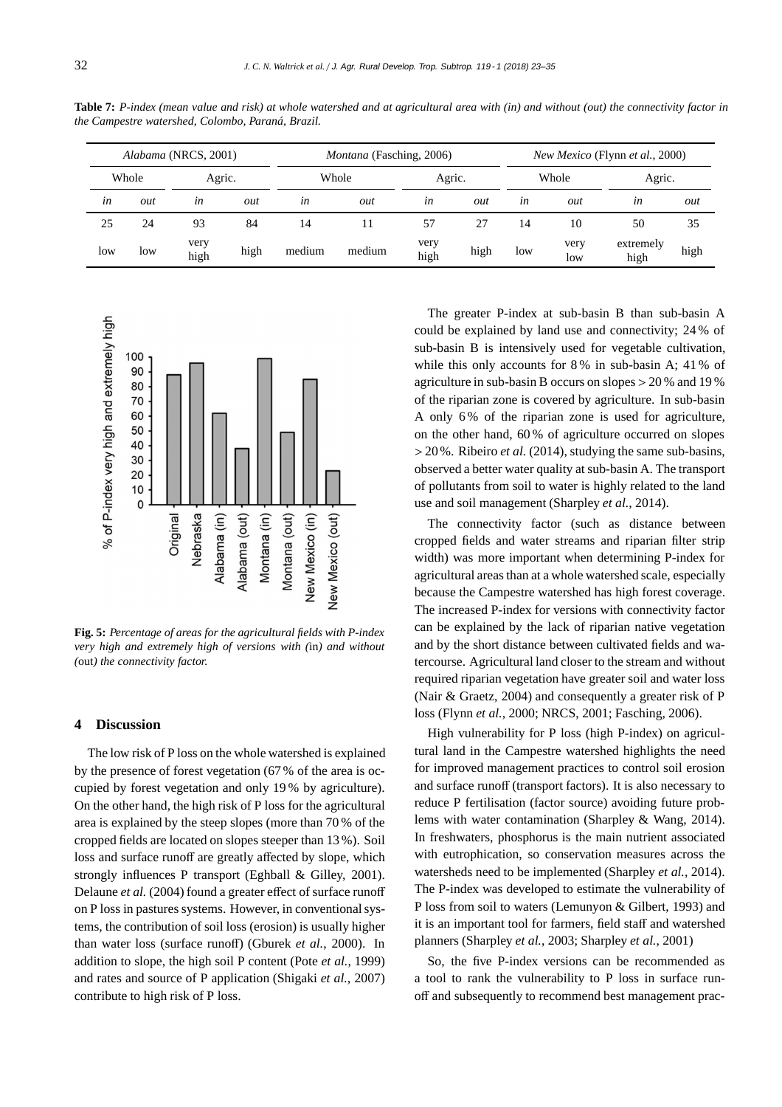| Alabama (NRCS, 2001) |                 |              |       |        | <i>Montana</i> (Fasching, 2006) |              | <i>New Mexico</i> (Flynn <i>et al.</i> , 2000) |     |             |                   |      |  |
|----------------------|-----------------|--------------|-------|--------|---------------------------------|--------------|------------------------------------------------|-----|-------------|-------------------|------|--|
|                      | Whole<br>Agric. |              | Whole |        | Agric.                          |              | Whole                                          |     | Agric.      |                   |      |  |
| in                   | out             | in           | out   | in     | out                             | $\iota$ n    | out                                            | in  | out         | in                | out  |  |
| 25                   | 24              | 93           | 84    | 14     |                                 | 57           | 27                                             | 14  | 10          | 50                | 35   |  |
| low                  | low             | very<br>high | high  | medium | medium                          | very<br>high | high                                           | low | very<br>low | extremely<br>high | high |  |

**Table 7:** *P-index (mean value and risk) at whole watershed and at agricultural area with (in) and without (out) the connectivity factor in the Campestre watershed, Colombo, Paraná, Brazil.*



**Fig. 5:** *Percentage of areas for the agricultural fields with P-index very high and extremely high of versions with (*in*) and without (*out*) the connectivity factor.*

#### **4 Discussion**

The low risk of P loss on the whole watershed is explained by the presence of forest vegetation (67 % of the area is occupied by forest vegetation and only 19 % by agriculture). On the other hand, the high risk of P loss for the agricultural area is explained by the steep slopes (more than 70 % of the cropped fields are located on slopes steeper than 13 %). Soil loss and surface runoff are greatly affected by slope, which strongly influences P transport (Eghball & Gilley, 2001). Delaune *et al.* (2004) found a greater effect of surface runoff on P loss in pastures systems. However, in conventional systems, the contribution of soil loss (erosion) is usually higher than water loss (surface runoff) (Gburek *et al.*, 2000). In addition to slope, the high soil P content (Pote *et al.*, 1999) and rates and source of P application (Shigaki *et al.*, 2007) contribute to high risk of P loss.

The greater P-index at sub-basin B than sub-basin A could be explained by land use and connectivity; 24 % of sub-basin B is intensively used for vegetable cultivation, while this only accounts for 8% in sub-basin A; 41% of agriculture in sub-basin B occurs on slopes > 20 % and 19 % of the riparian zone is covered by agriculture. In sub-basin A only 6 % of the riparian zone is used for agriculture, on the other hand, 60 % of agriculture occurred on slopes > 20 %. Ribeiro *et al.* (2014), studying the same sub-basins, observed a better water quality at sub-basin A. The transport of pollutants from soil to water is highly related to the land use and soil management (Sharpley *et al.*, 2014).

The connectivity factor (such as distance between cropped fields and water streams and riparian filter strip width) was more important when determining P-index for agricultural areas than at a whole watershed scale, especially because the Campestre watershed has high forest coverage. The increased P-index for versions with connectivity factor can be explained by the lack of riparian native vegetation and by the short distance between cultivated fields and watercourse. Agricultural land closer to the stream and without required riparian vegetation have greater soil and water loss (Nair & Graetz, 2004) and consequently a greater risk of P loss (Flynn *et al.*, 2000; NRCS, 2001; Fasching, 2006).

High vulnerability for P loss (high P-index) on agricultural land in the Campestre watershed highlights the need for improved management practices to control soil erosion and surface runoff (transport factors). It is also necessary to reduce P fertilisation (factor source) avoiding future problems with water contamination (Sharpley & Wang, 2014). In freshwaters, phosphorus is the main nutrient associated with eutrophication, so conservation measures across the watersheds need to be implemented (Sharpley *et al.*, 2014). The P-index was developed to estimate the vulnerability of P loss from soil to waters (Lemunyon & Gilbert, 1993) and it is an important tool for farmers, field staff and watershed planners (Sharpley *et al.*, 2003; Sharpley *et al.*, 2001)

So, the five P-index versions can be recommended as a tool to rank the vulnerability to P loss in surface runoff and subsequently to recommend best management prac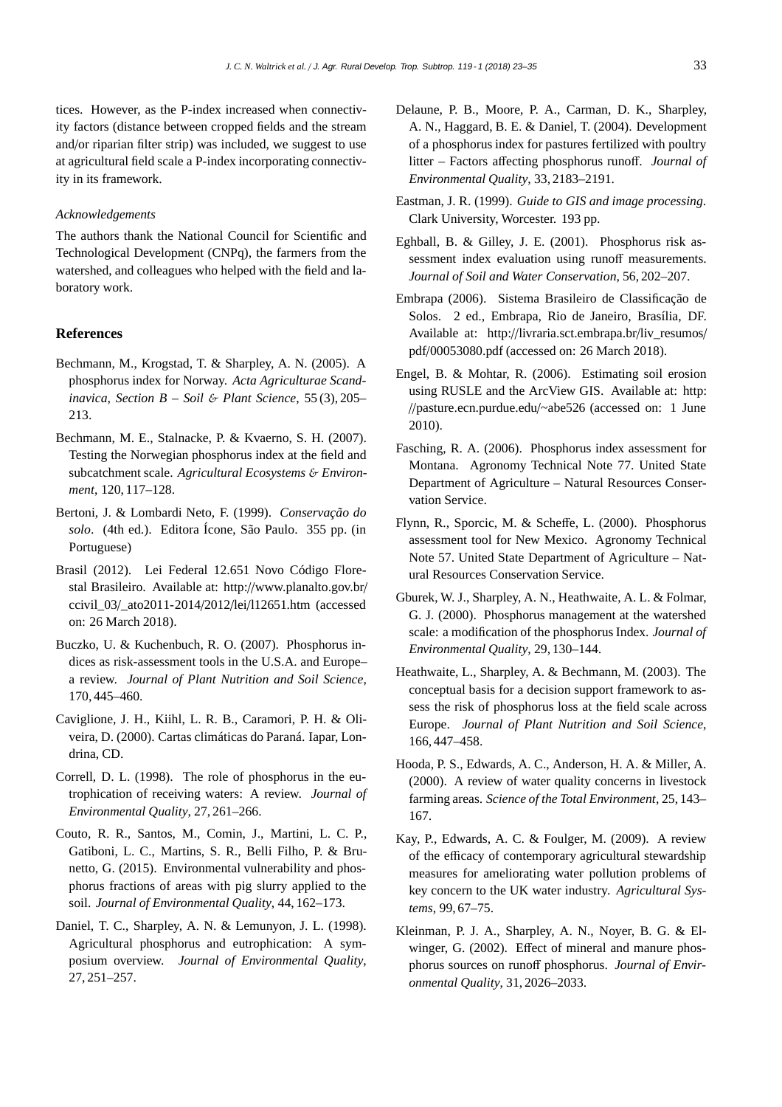tices. However, as the P-index increased when connectivity factors (distance between cropped fields and the stream and/or riparian filter strip) was included, we suggest to use at agricultural field scale a P-index incorporating connectivity in its framework.

#### *Acknowledgements*

The authors thank the National Council for Scientific and Technological Development (CNPq), the farmers from the watershed, and colleagues who helped with the field and laboratory work.

#### **References**

- Bechmann, M., Krogstad, T. & Sharpley, A. N. (2005). A phosphorus index for Norway. *Acta Agriculturae Scandinavica, Section B – Soil* & *Plant Science*, 55 (3), 205– 213.
- Bechmann, M. E., Stalnacke, P. & Kvaerno, S. H. (2007). Testing the Norwegian phosphorus index at the field and subcatchment scale. *Agricultural Ecosystems* & *Environment*, 120, 117–128.
- Bertoni, J. & Lombardi Neto, F. (1999). *Conservação do solo*. (4th ed.). Editora Ícone, São Paulo. 355 pp. (in Portuguese)
- Brasil (2012). Lei Federal 12.651 Novo Código Florestal Brasileiro. Available at: http://www.planalto.gov.br/ ccivil\_03/\_ato2011-2014/2012/lei/l12651.htm (accessed on: 26 March 2018).
- Buczko, U. & Kuchenbuch, R. O. (2007). Phosphorus indices as risk-assessment tools in the U.S.A. and Europe– a review. *Journal of Plant Nutrition and Soil Science*, 170, 445–460.
- Caviglione, J. H., Kiihl, L. R. B., Caramori, P. H. & Oliveira, D. (2000). Cartas climáticas do Paraná. Iapar, Londrina, CD.
- Correll, D. L. (1998). The role of phosphorus in the eutrophication of receiving waters: A review. *Journal of Environmental Quality*, 27, 261–266.
- Couto, R. R., Santos, M., Comin, J., Martini, L. C. P., Gatiboni, L. C., Martins, S. R., Belli Filho, P. & Brunetto, G. (2015). Environmental vulnerability and phosphorus fractions of areas with pig slurry applied to the soil. *Journal of Environmental Quality*, 44, 162–173.
- Daniel, T. C., Sharpley, A. N. & Lemunyon, J. L. (1998). Agricultural phosphorus and eutrophication: A symposium overview. *Journal of Environmental Quality*, 27, 251–257.
- Delaune, P. B., Moore, P. A., Carman, D. K., Sharpley, A. N., Haggard, B. E. & Daniel, T. (2004). Development of a phosphorus index for pastures fertilized with poultry litter – Factors affecting phosphorus runoff. *Journal of Environmental Quality*, 33, 2183–2191.
- Eastman, J. R. (1999). *Guide to GIS and image processing*. Clark University, Worcester. 193 pp.
- Eghball, B. & Gilley, J. E. (2001). Phosphorus risk assessment index evaluation using runoff measurements. *Journal of Soil and Water Conservation*, 56, 202–207.
- Embrapa (2006). Sistema Brasileiro de Classificação de Solos. 2 ed., Embrapa, Rio de Janeiro, Brasília, DF. Available at: http://livraria.sct.embrapa.br/liv\_resumos/ pdf/00053080.pdf (accessed on: 26 March 2018).
- Engel, B. & Mohtar, R. (2006). Estimating soil erosion using RUSLE and the ArcView GIS. Available at: http: //pasture.ecn.purdue.edu/~abe526 (accessed on: 1 June 2010).
- Fasching, R. A. (2006). Phosphorus index assessment for Montana. Agronomy Technical Note 77. United State Department of Agriculture – Natural Resources Conservation Service.
- Flynn, R., Sporcic, M. & Scheffe, L. (2000). Phosphorus assessment tool for New Mexico. Agronomy Technical Note 57. United State Department of Agriculture – Natural Resources Conservation Service.
- Gburek, W. J., Sharpley, A. N., Heathwaite, A. L. & Folmar, G. J. (2000). Phosphorus management at the watershed scale: a modification of the phosphorus Index. *Journal of Environmental Quality*, 29, 130–144.
- Heathwaite, L., Sharpley, A. & Bechmann, M. (2003). The conceptual basis for a decision support framework to assess the risk of phosphorus loss at the field scale across Europe. *Journal of Plant Nutrition and Soil Science*, 166, 447–458.
- Hooda, P. S., Edwards, A. C., Anderson, H. A. & Miller, A. (2000). A review of water quality concerns in livestock farming areas. *Science of the Total Environment*, 25, 143– 167.
- Kay, P., Edwards, A. C. & Foulger, M. (2009). A review of the efficacy of contemporary agricultural stewardship measures for ameliorating water pollution problems of key concern to the UK water industry. *Agricultural Systems*, 99, 67–75.
- Kleinman, P. J. A., Sharpley, A. N., Noyer, B. G. & Elwinger, G. (2002). Effect of mineral and manure phosphorus sources on runoff phosphorus. *Journal of Environmental Quality*, 31, 2026–2033.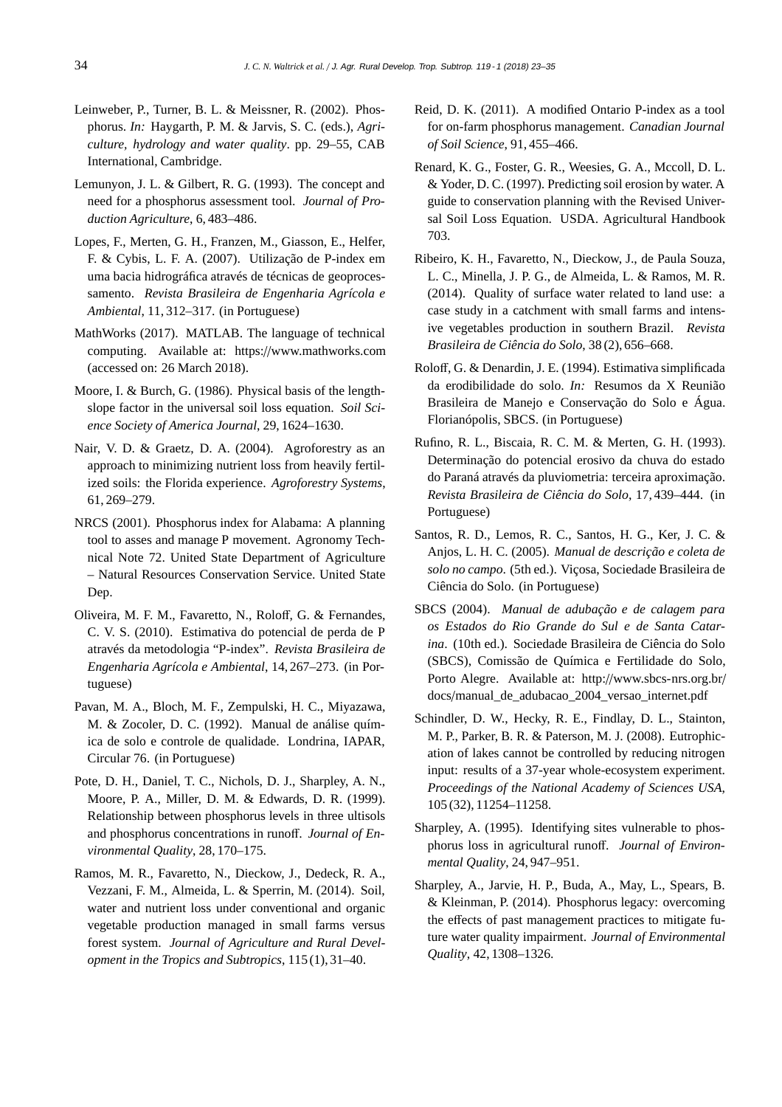- Leinweber, P., Turner, B. L. & Meissner, R. (2002). Phosphorus. *In:* Haygarth, P. M. & Jarvis, S. C. (eds.), *Agriculture, hydrology and water quality*. pp. 29–55, CAB International, Cambridge.
- Lemunyon, J. L. & Gilbert, R. G. (1993). The concept and need for a phosphorus assessment tool. *Journal of Production Agriculture*, 6, 483–486.
- Lopes, F., Merten, G. H., Franzen, M., Giasson, E., Helfer, F. & Cybis, L. F. A. (2007). Utilização de P-index em uma bacia hidrográfica através de técnicas de geoprocessamento. *Revista Brasileira de Engenharia Agrícola e Ambiental*, 11, 312–317. (in Portuguese)
- MathWorks (2017). MATLAB. The language of technical computing. Available at: https://www.mathworks.com (accessed on: 26 March 2018).
- Moore, I. & Burch, G. (1986). Physical basis of the lengthslope factor in the universal soil loss equation. *Soil Science Society of America Journal*, 29, 1624–1630.
- Nair, V. D. & Graetz, D. A. (2004). Agroforestry as an approach to minimizing nutrient loss from heavily fertilized soils: the Florida experience. *Agroforestry Systems*, 61, 269–279.
- NRCS (2001). Phosphorus index for Alabama: A planning tool to asses and manage P movement. Agronomy Technical Note 72. United State Department of Agriculture – Natural Resources Conservation Service. United State Dep.
- Oliveira, M. F. M., Favaretto, N., Roloff, G. & Fernandes, C. V. S. (2010). Estimativa do potencial de perda de P através da metodologia "P-index". *Revista Brasileira de Engenharia Agrícola e Ambiental*, 14, 267–273. (in Portuguese)
- Pavan, M. A., Bloch, M. F., Zempulski, H. C., Miyazawa, M. & Zocoler, D. C. (1992). Manual de análise química de solo e controle de qualidade. Londrina, IAPAR, Circular 76. (in Portuguese)
- Pote, D. H., Daniel, T. C., Nichols, D. J., Sharpley, A. N., Moore, P. A., Miller, D. M. & Edwards, D. R. (1999). Relationship between phosphorus levels in three ultisols and phosphorus concentrations in runoff. *Journal of Environmental Quality*, 28, 170–175.
- Ramos, M. R., Favaretto, N., Dieckow, J., Dedeck, R. A., Vezzani, F. M., Almeida, L. & Sperrin, M. (2014). Soil, water and nutrient loss under conventional and organic vegetable production managed in small farms versus forest system. *Journal of Agriculture and Rural Development in the Tropics and Subtropics*, 115 (1), 31–40.
- Reid, D. K. (2011). A modified Ontario P-index as a tool for on-farm phosphorus management. *Canadian Journal of Soil Science*, 91, 455–466.
- Renard, K. G., Foster, G. R., Weesies, G. A., Mccoll, D. L. & Yoder, D. C. (1997). Predicting soil erosion by water. A guide to conservation planning with the Revised Universal Soil Loss Equation. USDA. Agricultural Handbook 703.
- Ribeiro, K. H., Favaretto, N., Dieckow, J., de Paula Souza, L. C., Minella, J. P. G., de Almeida, L. & Ramos, M. R. (2014). Quality of surface water related to land use: a case study in a catchment with small farms and intensive vegetables production in southern Brazil. *Revista Brasileira de Ciência do Solo*, 38 (2), 656–668.
- Roloff, G. & Denardin, J. E. (1994). Estimativa simplificada da erodibilidade do solo. *In:* Resumos da X Reunião Brasileira de Manejo e Conservação do Solo e Água. Florianópolis, SBCS. (in Portuguese)
- Rufino, R. L., Biscaia, R. C. M. & Merten, G. H. (1993). Determinação do potencial erosivo da chuva do estado do Paraná através da pluviometria: terceira aproximação. *Revista Brasileira de Ciência do Solo*, 17, 439–444. (in Portuguese)
- Santos, R. D., Lemos, R. C., Santos, H. G., Ker, J. C. & Anjos, L. H. C. (2005). *Manual de descrição e coleta de solo no campo*. (5th ed.). Viçosa, Sociedade Brasileira de Ciência do Solo. (in Portuguese)
- SBCS (2004). *Manual de adubação e de calagem para os Estados do Rio Grande do Sul e de Santa Catarina*. (10th ed.). Sociedade Brasileira de Ciência do Solo (SBCS), Comissão de Química e Fertilidade do Solo, Porto Alegre. Available at: http://www.sbcs-nrs.org.br/ docs/manual\_de\_adubacao\_2004\_versao\_internet.pdf
- Schindler, D. W., Hecky, R. E., Findlay, D. L., Stainton, M. P., Parker, B. R. & Paterson, M. J. (2008). Eutrophication of lakes cannot be controlled by reducing nitrogen input: results of a 37-year whole-ecosystem experiment. *Proceedings of the National Academy of Sciences USA*, 105 (32), 11254–11258.
- Sharpley, A. (1995). Identifying sites vulnerable to phosphorus loss in agricultural runoff. *Journal of Environmental Quality*, 24, 947–951.
- Sharpley, A., Jarvie, H. P., Buda, A., May, L., Spears, B. & Kleinman, P. (2014). Phosphorus legacy: overcoming the effects of past management practices to mitigate future water quality impairment. *Journal of Environmental Quality*, 42, 1308–1326.